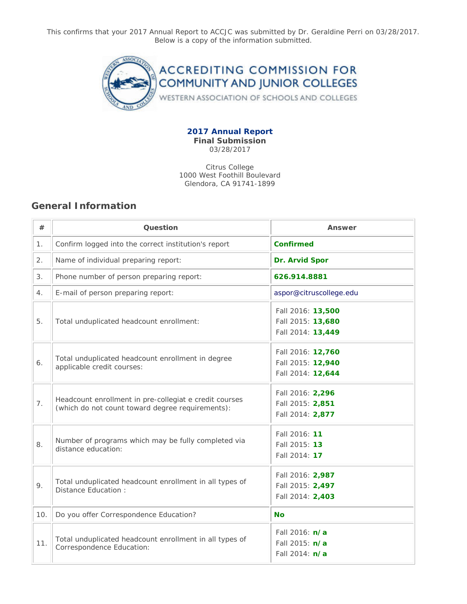This confirms that your 2017 Annual Report to ACCJC was submitted by Dr. Geraldine Perri on 03/28/2017. Below is a copy of the information submitted.



**2017 Annual Report Final Submission** 03/28/2017

Citrus College 1000 West Foothill Boulevard Glendora, CA 91741-1899

## **General Information**

| #   | Question                                                                                                   | Answer                                                             |
|-----|------------------------------------------------------------------------------------------------------------|--------------------------------------------------------------------|
| 1.  | Confirm logged into the correct institution's report                                                       | <b>Confirmed</b>                                                   |
| 2.  | Name of individual preparing report:                                                                       | Dr. Arvid Spor                                                     |
| 3.  | Phone number of person preparing report:                                                                   | 626.914.8881                                                       |
| 4.  | E-mail of person preparing report:                                                                         | aspor@citruscollege.edu                                            |
| 5.  | Total unduplicated headcount enrollment:                                                                   | Fall 2016: 13,500<br>Fall 2015: 13,680<br>Fall 2014: 13,449        |
| 6.  | Total unduplicated headcount enrollment in degree<br>applicable credit courses:                            | Fall 2016: 12,760<br>Fall 2015: 12,940<br>Fall 2014: 12,644        |
| 7.  | Headcount enrollment in pre-collegiat e credit courses<br>(which do not count toward degree requirements): | Fall 2016: 2,296<br>Fall 2015: 2,851<br>Fall 2014: 2,877           |
| 8.  | Number of programs which may be fully completed via<br>distance education:                                 | Fall 2016: 11<br>Fall 2015: 13<br>Fall 2014: 17                    |
| 9.  | Total unduplicated headcount enrollment in all types of<br>Distance Education :                            | Fall 2016: 2,987<br>Fall 2015: 2,497<br>Fall 2014: 2,403           |
| 10. | Do you offer Correspondence Education?                                                                     | <b>No</b>                                                          |
| 11. | Total unduplicated headcount enrollment in all types of<br>Correspondence Education:                       | Fall 2016: <b>n/a</b><br>Fall 2015: <b>n/a</b><br>Fall 2014: $n/a$ |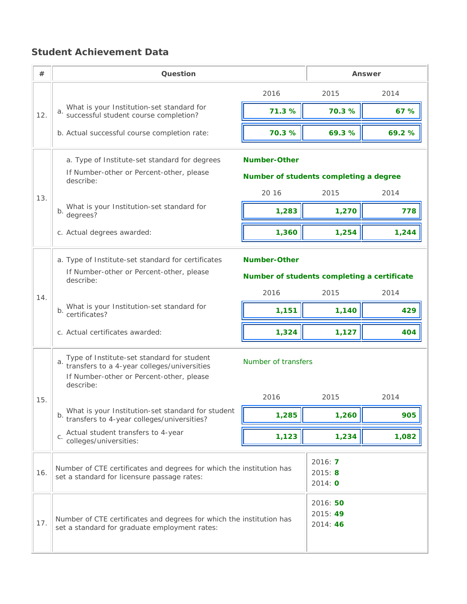## **Student Achievement Data**

| #   | Question                                                                                                                                              |                                             | Answer                        |       |  |  |  |
|-----|-------------------------------------------------------------------------------------------------------------------------------------------------------|---------------------------------------------|-------------------------------|-------|--|--|--|
|     |                                                                                                                                                       | 2016                                        | 2015                          | 2014  |  |  |  |
| 12. | What is your Institution-set standard for<br>a. www.completion?                                                                                       | 71.3 %                                      | 70.3 %                        | 67 %  |  |  |  |
|     | b. Actual successful course completion rate:                                                                                                          | 70.3 %                                      | 69.3%                         | 69.2% |  |  |  |
|     | a. Type of Institute-set standard for degrees                                                                                                         | <b>Number-Other</b>                         |                               |       |  |  |  |
|     | If Number-other or Percent-other, please<br>describe:                                                                                                 | Number of students completing a degree      |                               |       |  |  |  |
| 13. |                                                                                                                                                       | 20 16                                       | 2015                          | 2014  |  |  |  |
|     | What is your Institution-set standard for<br>b.<br>degrees?                                                                                           | 1,283                                       | 1,270                         | 778   |  |  |  |
|     | c. Actual degrees awarded:                                                                                                                            | 1,360                                       | 1,254                         | 1,244 |  |  |  |
|     | a. Type of Institute-set standard for certificates                                                                                                    | <b>Number-Other</b>                         |                               |       |  |  |  |
|     | If Number-other or Percent-other, please<br>describe:                                                                                                 | Number of students completing a certificate |                               |       |  |  |  |
| 14. |                                                                                                                                                       | 2016                                        | 2015                          | 2014  |  |  |  |
|     | What is your Institution-set standard for<br>b.<br>certificates?                                                                                      | 1,151                                       | 1,140                         | 429   |  |  |  |
|     | c. Actual certificates awarded:                                                                                                                       | 1,324                                       | 1,127                         | 404   |  |  |  |
|     | Type of Institute-set standard for student<br>a. transfers to a 4-year colleges/universities<br>If Number-other or Percent-other, please<br>describe: | Number of transfers                         |                               |       |  |  |  |
| 15. |                                                                                                                                                       | 2016                                        | 2015                          | 2014  |  |  |  |
|     | What is your Institution-set standard for student<br>b.<br>transfers to 4-year colleges/universities?                                                 | 1,285                                       | 1,260                         | 905   |  |  |  |
|     | Actual student transfers to 4-year<br>$C$ .<br>colleges/universities:                                                                                 | 1,123                                       | 1,234                         | 1,082 |  |  |  |
| 16. | Number of CTE certificates and degrees for which the institution has<br>set a standard for licensure passage rates:                                   |                                             | 2016: 7<br>2015: 8<br>2014: 0 |       |  |  |  |
| 17. | Number of CTE certificates and degrees for which the institution has<br>set a standard for graduate employment rates:                                 | 2016: 50<br>2015: 49<br>2014: 46            |                               |       |  |  |  |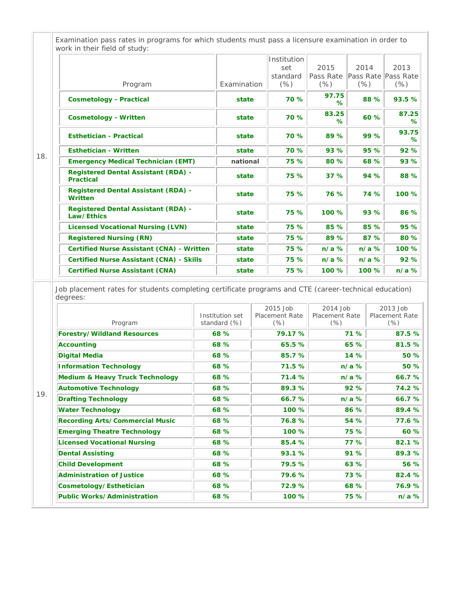|     | Program                                                                                                                                         |       | Examination     |  | Institution<br>set<br>standard<br>(% ) | 2015<br>Pass Rate<br>$(\%)$       | 2014<br>$(\% )$ |         | 2013<br>Pass Rate Pass Rate<br>$(\%)$                                         |
|-----|-------------------------------------------------------------------------------------------------------------------------------------------------|-------|-----------------|--|----------------------------------------|-----------------------------------|-----------------|---------|-------------------------------------------------------------------------------|
|     | <b>Cosmetology - Practical</b>                                                                                                                  |       | state           |  | 70 %                                   | 97.75<br>℅                        |                 | 88 %    | 93.5 %                                                                        |
|     | <b>Cosmetology - Written</b>                                                                                                                    |       | state           |  | 70 %                                   | 83.25<br>℅                        |                 | 60 %    | 87.25<br>℅                                                                    |
|     | <b>Esthetician - Practical</b>                                                                                                                  |       | state           |  | 70 %                                   | 89 %                              |                 | 99 %    | 93.75<br>%                                                                    |
|     | <b>Esthetician - Written</b>                                                                                                                    |       | state           |  | 70 %                                   | 93 %                              |                 | 95 %    | 92 %                                                                          |
| 18. | <b>Emergency Medical Technician (EMT)</b>                                                                                                       |       | national        |  | 75 %                                   | 80 %                              |                 | 68 %    | 93 %                                                                          |
|     | <b>Registered Dental Assistant (RDA) -</b><br><b>Practical</b>                                                                                  |       | state           |  | 75 %                                   | 37%                               |                 | 94 %    | 88 %                                                                          |
|     | <b>Registered Dental Assistant (RDA) -</b><br>Written                                                                                           | state |                 |  | 75 %                                   | 76 %                              |                 | 74 %    | 100 %                                                                         |
|     | <b>Registered Dental Assistant (RDA) -</b><br>Law/Ethics                                                                                        |       | state           |  | 75 %                                   | 100 %                             |                 | 93 %    | 86 %                                                                          |
|     | <b>Licensed Vocational Nursing (LVN)</b>                                                                                                        |       | state           |  | 75 %                                   | 85 %                              |                 | 85 %    | 95 %                                                                          |
|     | <b>Registered Nursing (RN)</b>                                                                                                                  |       | state           |  | 75 %                                   | 89 %                              |                 | 87 %    | 80 %                                                                          |
|     | <b>Certified Nurse Assistant (CNA) - Written</b>                                                                                                |       | state           |  | 75 %                                   | $n/a$ %                           |                 | $n/a$ % | 100 %                                                                         |
|     | <b>Certified Nurse Assistant (CNA) - Skills</b>                                                                                                 |       | state           |  | 75 %                                   | $n/a$ %                           |                 | $n/a$ % | 92 %                                                                          |
|     | <b>Certified Nurse Assistant (CNA)</b><br>Job placement rates for students completing certificate programs and CTE (career-technical education) |       | state           |  | 75 %                                   | 100 %                             |                 | 100 %   |                                                                               |
|     | degrees:                                                                                                                                        |       | Institution set |  | 2015 Job<br><b>Placement Rate</b>      | 2014 Job<br><b>Placement Rate</b> |                 |         | 2013 Job                                                                      |
|     | Program                                                                                                                                         |       | standard (%)    |  | $(\% )$                                | $(\%)$                            |                 |         | $(\% )$                                                                       |
|     | <b>Forestry/Wildland Resources</b>                                                                                                              |       | 68 %            |  | 79.17 %                                |                                   | 71 %            |         |                                                                               |
|     | Accounting                                                                                                                                      |       | 68 %            |  | 65.5 %                                 |                                   | 65 %            |         |                                                                               |
|     | <b>Digital Media</b><br><b>Information Technology</b>                                                                                           |       | 68 %<br>68 %    |  | 85.7 %<br>71.5 %                       |                                   | 14 %<br>$n/a$ % |         |                                                                               |
|     |                                                                                                                                                 |       | 68 %            |  | 71.4 %                                 |                                   | $n/a$ %         |         | $n/a$ %<br><b>Placement Rate</b><br>87.5 %<br>81.5 %<br>50 %<br>50 %<br>66.7% |
|     | Medium & Heavy Truck Technology<br><b>Automotive Technology</b>                                                                                 |       | 68 %            |  | 89.3%                                  |                                   | 92 %            |         | 74.2 %                                                                        |
| 19. | <b>Drafting Technology</b>                                                                                                                      |       | 68 %            |  | 66.7%                                  |                                   | $n/a$ %         |         | 66.7%                                                                         |
|     | <b>Water Technology</b>                                                                                                                         |       | 68 %            |  | 100 %                                  |                                   | 86 %            |         |                                                                               |
|     | <b>Recording Arts/Commercial Music</b>                                                                                                          |       | 68 %            |  | 76.8%                                  |                                   | 54 %            |         | 89.4 %<br>77.6 %                                                              |
|     | <b>Emerging Theatre Technology</b>                                                                                                              |       | 68 %            |  | 100 %                                  |                                   | 75 %            |         |                                                                               |
|     | <b>Licensed Vocational Nursing</b>                                                                                                              |       | 68 %            |  | 85.4 %                                 |                                   | 77 %            |         |                                                                               |
|     | <b>Dental Assisting</b>                                                                                                                         |       | 68 %            |  | 93.1%                                  |                                   | 91 %            |         |                                                                               |
|     | <b>Child Development</b>                                                                                                                        |       | 68 %            |  | 79.5 %                                 |                                   | 63 %            |         |                                                                               |
|     | <b>Administration of Justice</b><br>Cosmetology/Esthetician                                                                                     |       | 68 %<br>68 %    |  | 79.6 %<br>72.9%                        |                                   | 73 %<br>68 %    |         | 60 %<br>82.1%<br>89.3%<br>56 %<br>82.4 %<br>76.9%                             |